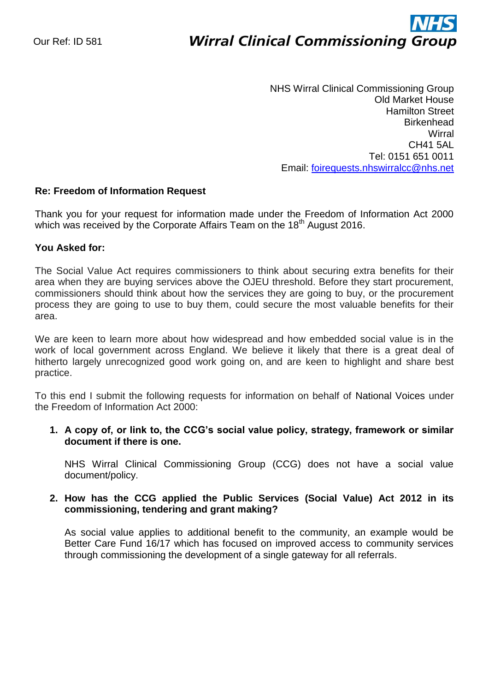# ì **Wirral Clinical Commissioning Group**

NHS Wirral Clinical Commissioning Group Old Market House Hamilton Street **Birkenhead Wirral** CH41 5AL Tel: 0151 651 0011 Email: [foirequests.nhswirralcc@nhs.net](mailto:foirequests.nhswirralcc@nhs.net)

## **Re: Freedom of Information Request**

Thank you for your request for information made under the Freedom of Information Act 2000 which was received by the Corporate Affairs Team on the  $18<sup>th</sup>$  August 2016.

## **You Asked for:**

The Social Value Act requires commissioners to think about securing extra benefits for their area when they are buying services above the OJEU threshold. Before they start procurement, commissioners should think about how the services they are going to buy, or the procurement process they are going to use to buy them, could secure the most valuable benefits for their area.

We are keen to learn more about how widespread and how embedded social value is in the work of local government across England. We believe it likely that there is a great deal of hitherto largely unrecognized good work going on, and are keen to highlight and share best practice.

To this end I submit the following requests for information on behalf of National Voices under the Freedom of Information Act 2000:

## **1. A copy of, or link to, the CCG's social value policy, strategy, framework or similar document if there is one.**

NHS Wirral Clinical Commissioning Group (CCG) does not have a social value document/policy.

## **2. How has the CCG applied the Public Services (Social Value) Act 2012 in its commissioning, tendering and grant making?**

As social value applies to additional benefit to the community, an example would be Better Care Fund 16/17 which has focused on improved access to community services through commissioning the development of a single gateway for all referrals.